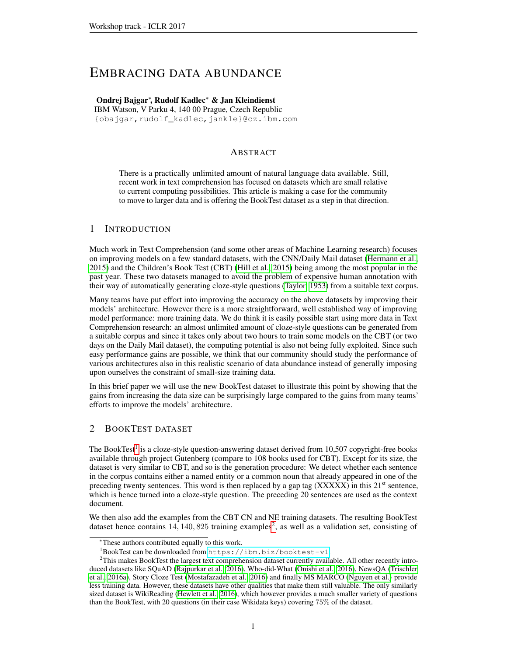# <span id="page-0-2"></span>EMBRACING DATA ABUNDANCE

### Ondrej Bajgar<sup>∗</sup> , Rudolf Kadlec<sup>∗</sup> & Jan Kleindienst

IBM Watson, V Parku 4, 140 00 Prague, Czech Republic {obajgar,rudolf\_kadlec,jankle}@cz.ibm.com

### ABSTRACT

There is a practically unlimited amount of natural language data available. Still, recent work in text comprehension has focused on datasets which are small relative to current computing possibilities. This article is making a case for the community to move to larger data and is offering the BookTest dataset as a step in that direction.

### 1 INTRODUCTION

Much work in Text Comprehension (and some other areas of Machine Learning research) focuses on improving models on a few standard datasets, with the CNN/Daily Mail dataset [\(Hermann et al.,](#page-3-0) [2015\)](#page-3-0) and the Children's Book Test (CBT) [\(Hill et al., 2015\)](#page-3-1) being among the most popular in the past year. These two datasets managed to avoid the problem of expensive human annotation with their way of automatically generating cloze-style questions [\(Taylor, 1953\)](#page-3-2) from a suitable text corpus.

Many teams have put effort into improving the accuracy on the above datasets by improving their models' architecture. However there is a more straightforward, well established way of improving model performance: more training data. We do think it is easily possible start using more data in Text Comprehension research: an almost unlimited amount of cloze-style questions can be generated from a suitable corpus and since it takes only about two hours to train some models on the CBT (or two days on the Daily Mail dataset), the computing potential is also not being fully exploited. Since such easy performance gains are possible, we think that our community should study the performance of various architectures also in this realistic scenario of data abundance instead of generally imposing upon ourselves the constraint of small-size training data.

In this brief paper we will use the new BookTest dataset to illustrate this point by showing that the gains from increasing the data size can be surprisingly large compared to the gains from many teams' efforts to improve the models' architecture.

### 2 BOOKTEST DATASET

The BookTest<sup>[1](#page-0-0)</sup> is a cloze-style question-answering dataset derived from 10,507 copyright-free books available through project Gutenberg (compare to 108 books used for CBT). Except for its size, the dataset is very similar to CBT, and so is the generation procedure: We detect whether each sentence in the corpus contains either a named entity or a common noun that already appeared in one of the preceding twenty sentences. This word is then replaced by a gap tag  $(XXXXX)$  in this  $21<sup>st</sup>$  sentence, which is hence turned into a cloze-style question. The preceding 20 sentences are used as the context document.

We then also add the examples from the CBT CN and NE training datasets. The resulting BookTest dataset hence contains  $14, 140, 825$  $14, 140, 825$  $14, 140, 825$  training examples<sup>2</sup>, as well as a validation set, consisting of

<sup>∗</sup>These authors contributed equally to this work.

<span id="page-0-1"></span><span id="page-0-0"></span><sup>1</sup>BookTest can be downloaded from <https://ibm.biz/booktest-v1>.

<sup>&</sup>lt;sup>2</sup>This makes BookTest the largest text comprehension dataset currently available. All other recently introduced datasets like SQuAD [\(Rajpurkar et al., 2016\)](#page-3-3), Who-did-What [\(Onishi et al., 2016\)](#page-3-4), NewsQA [\(Trischler](#page-4-0) [et al., 2016a\)](#page-4-0), Story Cloze Test [\(Mostafazadeh et al., 2016\)](#page-3-5) and finally MS MARCO [\(Nguyen et al.\)](#page-3-6) provide less training data. However, these datasets have other qualities that make them still valuable. The only similarly sized dataset is WikiReading [\(Hewlett et al., 2016\)](#page-3-7), which however provides a much smaller variety of questions than the BookTest, with 20 questions (in their case Wikidata keys) covering 75% of the dataset.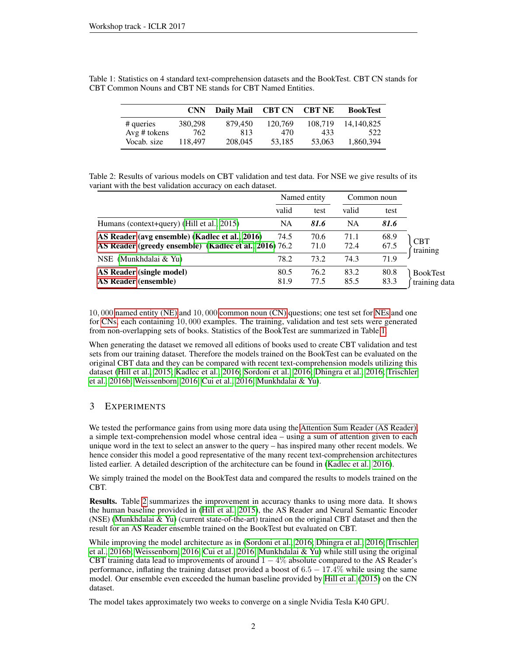<span id="page-1-0"></span>

|              | <b>CNN</b> | Daily Mail | <b>CBT CN CBT NE</b> |         | <b>BookTest</b> |
|--------------|------------|------------|----------------------|---------|-----------------|
| # queries    | 380,298    | 879.450    | 120.769              | 108.719 | 14.140.825      |
| Avg # tokens | 762        | 813        | 470                  | 433     | 522             |
| Vocab. size  | 118.497    | 208,045    | 53.185               | 53,063  | 1.860.394       |

Table 1: Statistics on 4 standard text-comprehension datasets and the BookTest. CBT CN stands for CBT Common Nouns and CBT NE stands for CBT Named Entities.

<span id="page-1-1"></span>Table 2: Results of various models on CBT validation and test data. For NSE we give results of its variant with the best validation accuracy on each dataset.

|                                                                                                          | Named entity |              | Common noun  |              |                                  |
|----------------------------------------------------------------------------------------------------------|--------------|--------------|--------------|--------------|----------------------------------|
|                                                                                                          | valid        | test         | valid        | test         |                                  |
| Humans (context+query) (Hill et al., 2015)                                                               | NA           | 81.6         | <b>NA</b>    | 81.6         |                                  |
| AS Reader (avg ensemble) (Kadlec et al., 2016)<br>AS Reader (greedy ensemble) (Kadlec et al., 2016) 76.2 |              | 70.6<br>71.0 | 71.1<br>72.4 | 68.9<br>67.5 | <b>CBT</b><br>training           |
| NSE (Munkhdalai & Yu)                                                                                    | 78.2         | 73.2         | 74.3         | 71.9         |                                  |
| AS Reader (single model)<br><b>AS Reader (ensemble)</b>                                                  | 80.5<br>81.9 | 76.2<br>77.5 | 83.2<br>85.5 | 80.8<br>83.3 | <b>BookTest</b><br>training data |

10, 000 [named entity \(NE\)](#page-0-2) and 10, 000 [common noun \(CN\)](#page-0-2) questions; one test set for [NEs](#page-0-2) and one for [CNs,](#page-0-2) each containing 10, 000 examples. The training, validation and test sets were generated from non-overlapping sets of books. Statistics of the BookTest are summarized in Table [1.](#page-1-0)

When generating the dataset we removed all editions of books used to create CBT validation and test sets from our training dataset. Therefore the models trained on the BookTest can be evaluated on the original CBT data and they can be compared with recent text-comprehension models utilizing this dataset [\(Hill et al., 2015;](#page-3-1) [Kadlec et al., 2016;](#page-3-8) [Sordoni et al., 2016;](#page-3-10) [Dhingra et al., 2016;](#page-3-11) [Trischler](#page-4-1) [et al., 2016b;](#page-4-1) [Weissenborn, 2016;](#page-4-2) [Cui et al., 2016;](#page-3-12) [Munkhdalai & Yu\)](#page-3-9).

## 3 EXPERIMENTS

We tested the performance gains from using more data using the [Attention Sum Reader \(AS Reader\),](#page-0-2) a simple text-comprehension model whose central idea – using a sum of attention given to each unique word in the text to select an answer to the query – has inspired many other recent models. We hence consider this model a good representative of the many recent text-comprehension architectures listed earlier. A detailed description of the architecture can be found in [\(Kadlec et al., 2016\)](#page-3-8).

We simply trained the model on the BookTest data and compared the results to models trained on the CBT.

Results. Table [2](#page-1-1) summarizes the improvement in accuracy thanks to using more data. It shows the human baseline provided in [\(Hill et al., 2015\)](#page-3-1), the AS Reader and Neural Semantic Encoder (NSE) [\(Munkhdalai & Yu\)](#page-3-9) (current state-of-the-art) trained on the original CBT dataset and then the result for an AS Reader ensemble trained on the BookTest but evaluated on CBT.

While improving the model architecture as in [\(Sordoni et al., 2016;](#page-3-10) [Dhingra et al., 2016;](#page-3-11) [Trischler](#page-4-1) [et al., 2016b;](#page-4-1) [Weissenborn, 2016;](#page-4-2) [Cui et al., 2016;](#page-3-12) [Munkhdalai & Yu\)](#page-3-9) while still using the original CBT training data lead to improvements of around  $1 - 4\%$  absolute compared to the AS Reader's performance, inflating the training dataset provided a boost of  $6.5 - 17.4\%$  while using the same model. Our ensemble even exceeded the human baseline provided by [Hill et al.](#page-3-1) [\(2015\)](#page-3-1) on the CN dataset.

The model takes approximately two weeks to converge on a single Nvidia Tesla K40 GPU.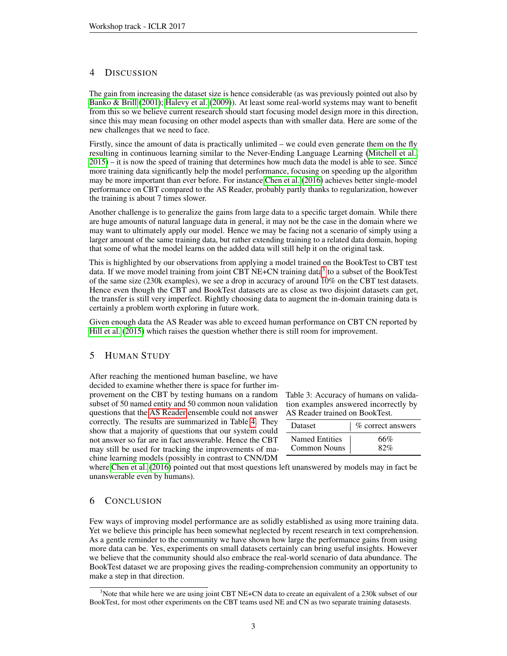### 4 DISCUSSION

The gain from increasing the dataset size is hence considerable (as was previously pointed out also by [Banko & Brill](#page-3-13) [\(2001\)](#page-3-13); [Halevy et al.](#page-3-14) [\(2009\)](#page-3-14)). At least some real-world systems may want to benefit from this so we believe current research should start focusing model design more in this direction, since this may mean focusing on other model aspects than with smaller data. Here are some of the new challenges that we need to face.

Firstly, since the amount of data is practically unlimited – we could even generate them on the fly resulting in continuous learning similar to the Never-Ending Language Learning [\(Mitchell et al.,](#page-3-15) [2015\)](#page-3-15) – it is now the speed of training that determines how much data the model is able to see. Since more training data significantly help the model performance, focusing on speeding up the algorithm may be more important than ever before. For instance [Chen et al.](#page-3-16) [\(2016\)](#page-3-16) achieves better single-model performance on CBT compared to the AS Reader, probably partly thanks to regularization, however the training is about 7 times slower.

Another challenge is to generalize the gains from large data to a specific target domain. While there are huge amounts of natural language data in general, it may not be the case in the domain where we may want to ultimately apply our model. Hence we may be facing not a scenario of simply using a larger amount of the same training data, but rather extending training to a related data domain, hoping that some of what the model learns on the added data will still help it on the original task.

This is highlighted by our observations from applying a model trained on the BookTest to CBT test data. If we move model training from joint CBT NE+CN training data<sup>[3](#page-2-0)</sup> to a subset of the BookTest of the same size (230k examples), we see a drop in accuracy of around 10% on the CBT test datasets. Hence even though the CBT and BookTest datasets are as close as two disjoint datasets can get, the transfer is still very imperfect. Rightly choosing data to augment the in-domain training data is certainly a problem worth exploring in future work.

Given enough data the AS Reader was able to exceed human performance on CBT CN reported by [Hill et al.](#page-3-1) [\(2015\)](#page-3-1) which raises the question whether there is still room for improvement.

### 5 HUMAN STUDY

After reaching the mentioned human baseline, we have decided to examine whether there is space for further improvement on the CBT by testing humans on a random subset of 50 named entity and 50 common noun validation questions that the [AS Reader](#page-0-2) ensemble could not answer correctly. The results are summarized in Table [4.](#page-2-1) They show that a majority of questions that our system could not answer so far are in fact answerable. Hence the CBT may still be used for tracking the improvements of machine learning models (possibly in contrast to CNN/DM

<span id="page-2-1"></span>

| Table 3: Accuracy of humans on valida- |
|----------------------------------------|
| tion examples answered incorrectly by  |
| AS Reader trained on BookTest.         |

| <b>Dataset</b>        | % correct answers |  |  |
|-----------------------|-------------------|--|--|
| <b>Named Entities</b> | 66%               |  |  |
| <b>Common Nouns</b>   | 82%               |  |  |

where [Chen et al.](#page-3-16) [\(2016\)](#page-3-16) pointed out that most questions left unanswered by models may in fact be unanswerable even by humans).

### 6 CONCLUSION

Few ways of improving model performance are as solidly established as using more training data. Yet we believe this principle has been somewhat neglected by recent research in text comprehension. As a gentle reminder to the community we have shown how large the performance gains from using more data can be. Yes, experiments on small datasets certainly can bring useful insights. However we believe that the community should also embrace the real-world scenario of data abundance. The BookTest dataset we are proposing gives the reading-comprehension community an opportunity to make a step in that direction.

<span id="page-2-0"></span><sup>&</sup>lt;sup>3</sup>Note that while here we are using joint CBT NE+CN data to create an equivalent of a 230k subset of our BookTest, for most other experiments on the CBT teams used NE and CN as two separate training datasests.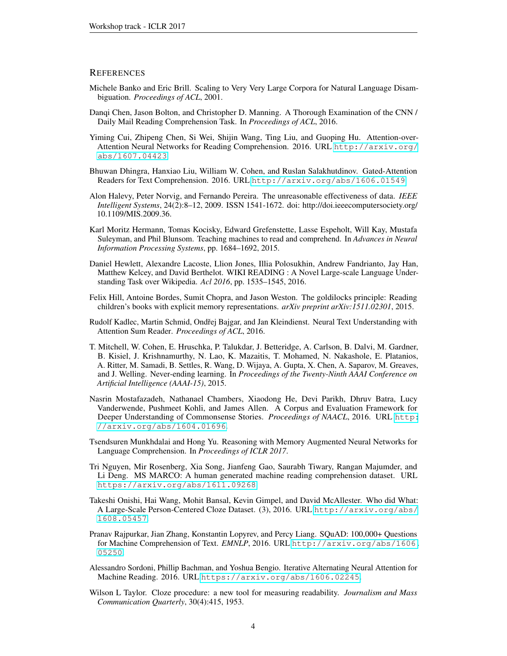#### **REFERENCES**

- <span id="page-3-13"></span>Michele Banko and Eric Brill. Scaling to Very Very Large Corpora for Natural Language Disambiguation. *Proceedings of ACL*, 2001.
- <span id="page-3-16"></span>Danqi Chen, Jason Bolton, and Christopher D. Manning. A Thorough Examination of the CNN / Daily Mail Reading Comprehension Task. In *Proceedings of ACL*, 2016.
- <span id="page-3-12"></span>Yiming Cui, Zhipeng Chen, Si Wei, Shijin Wang, Ting Liu, and Guoping Hu. Attention-over-Attention Neural Networks for Reading Comprehension. 2016. URL [http://arxiv.org/](http://arxiv.org/abs/1607.04423) [abs/1607.04423](http://arxiv.org/abs/1607.04423).
- <span id="page-3-11"></span>Bhuwan Dhingra, Hanxiao Liu, William W. Cohen, and Ruslan Salakhutdinov. Gated-Attention Readers for Text Comprehension. 2016. URL <http://arxiv.org/abs/1606.01549>.
- <span id="page-3-14"></span>Alon Halevy, Peter Norvig, and Fernando Pereira. The unreasonable effectiveness of data. *IEEE Intelligent Systems*, 24(2):8–12, 2009. ISSN 1541-1672. doi: http://doi.ieeecomputersociety.org/ 10.1109/MIS.2009.36.
- <span id="page-3-0"></span>Karl Moritz Hermann, Tomas Kocisky, Edward Grefenstette, Lasse Espeholt, Will Kay, Mustafa Suleyman, and Phil Blunsom. Teaching machines to read and comprehend. In *Advances in Neural Information Processing Systems*, pp. 1684–1692, 2015.
- <span id="page-3-7"></span>Daniel Hewlett, Alexandre Lacoste, Llion Jones, Illia Polosukhin, Andrew Fandrianto, Jay Han, Matthew Kelcey, and David Berthelot. WIKI READING : A Novel Large-scale Language Understanding Task over Wikipedia. *Acl 2016*, pp. 1535–1545, 2016.
- <span id="page-3-1"></span>Felix Hill, Antoine Bordes, Sumit Chopra, and Jason Weston. The goldilocks principle: Reading children's books with explicit memory representations. *arXiv preprint arXiv:1511.02301*, 2015.
- <span id="page-3-8"></span>Rudolf Kadlec, Martin Schmid, Ondřej Bajgar, and Jan Kleindienst. Neural Text Understanding with Attention Sum Reader. *Proceedings of ACL*, 2016.
- <span id="page-3-15"></span>T. Mitchell, W. Cohen, E. Hruschka, P. Talukdar, J. Betteridge, A. Carlson, B. Dalvi, M. Gardner, B. Kisiel, J. Krishnamurthy, N. Lao, K. Mazaitis, T. Mohamed, N. Nakashole, E. Platanios, A. Ritter, M. Samadi, B. Settles, R. Wang, D. Wijaya, A. Gupta, X. Chen, A. Saparov, M. Greaves, and J. Welling. Never-ending learning. In *Proceedings of the Twenty-Ninth AAAI Conference on Artificial Intelligence (AAAI-15)*, 2015.
- <span id="page-3-5"></span>Nasrin Mostafazadeh, Nathanael Chambers, Xiaodong He, Devi Parikh, Dhruv Batra, Lucy Vanderwende, Pushmeet Kohli, and James Allen. A Corpus and Evaluation Framework for Deeper Understanding of Commonsense Stories. *Proceedings of NAACL*, 2016. URL [http:](http://arxiv.org/abs/1604.01696) [//arxiv.org/abs/1604.01696](http://arxiv.org/abs/1604.01696).
- <span id="page-3-9"></span>Tsendsuren Munkhdalai and Hong Yu. Reasoning with Memory Augmented Neural Networks for Language Comprehension. In *Proceedings of ICLR 2017*.
- <span id="page-3-6"></span>Tri Nguyen, Mir Rosenberg, Xia Song, Jianfeng Gao, Saurabh Tiwary, Rangan Majumder, and Li Deng. MS MARCO: A human generated machine reading comprehension dataset. URL <https://arxiv.org/abs/1611.09268>.
- <span id="page-3-4"></span>Takeshi Onishi, Hai Wang, Mohit Bansal, Kevin Gimpel, and David McAllester. Who did What: A Large-Scale Person-Centered Cloze Dataset. (3), 2016. URL [http://arxiv.org/abs/](http://arxiv.org/abs/1608.05457) [1608.05457](http://arxiv.org/abs/1608.05457).
- <span id="page-3-3"></span>Pranav Rajpurkar, Jian Zhang, Konstantin Lopyrev, and Percy Liang. SQuAD: 100,000+ Questions for Machine Comprehension of Text. *EMNLP*, 2016. URL [http://arxiv.org/abs/1606.](http://arxiv.org/abs/1606.05250) [05250](http://arxiv.org/abs/1606.05250).
- <span id="page-3-10"></span>Alessandro Sordoni, Phillip Bachman, and Yoshua Bengio. Iterative Alternating Neural Attention for Machine Reading. 2016. URL <https://arxiv.org/abs/1606.02245>.
- <span id="page-3-2"></span>Wilson L Taylor. Cloze procedure: a new tool for measuring readability. *Journalism and Mass Communication Quarterly*, 30(4):415, 1953.